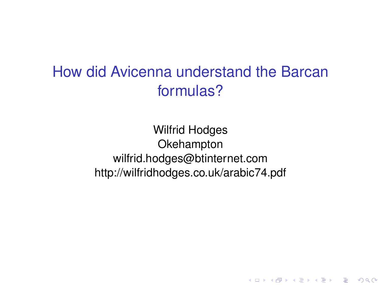# How did Avicenna understand the Barcan formulas?

Wilfrid Hodges **Okehampton** wilfrid.hodges@btinternet.com http://wilfridhodges.co.uk/arabic74.pdf

K ロ ▶ K @ ▶ K 할 ▶ K 할 ▶ 이 할 → 9 Q Q →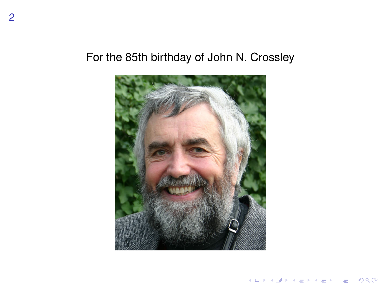## For the 85th birthday of John N. Crossley



K ロ ▶ K @ ▶ K 할 ▶ K 할 ▶ . 할 . ⊙ Q Q\*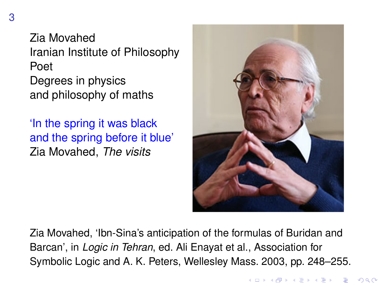Zia Movahed Iranian Institute of Philosophy Poet Degrees in physics and philosophy of maths

'In the spring it was black and the spring before it blue' Zia Movahed, *The visits*



Zia Movahed, 'Ibn-Sina's anticipation of the formulas of Buridan and Barcan', in *Logic in Tehran*, ed. Ali Enayat et al., Association for Symbolic Logic and A. K. Peters, Wellesley Mass. 2003, pp. 248–255.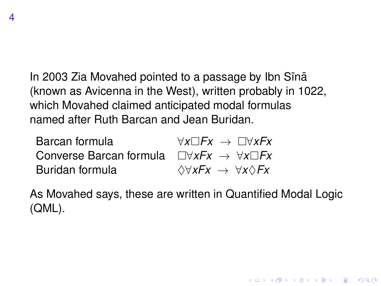In 2003 Zia Movahed pointed to a passage by Ibn Sīnā (known as Avicenna in the West), written probably in 1022, which Movahed claimed anticipated modal formulas named after Ruth Barcan and Jean Buridan.

| Barcan formula                                                           | $\forall x \Box Fx \rightarrow \Box \forall x Fx$ |
|--------------------------------------------------------------------------|---------------------------------------------------|
| Converse Barcan formula $\Box \forall xFx \rightarrow \forall x \Box Fx$ |                                                   |
| Buridan formula                                                          | $\Diamond \forall xFx$ → $\forall x\Diamond Fx$   |

As Movahed says, these are written in Quantified Modal Logic (QML).

K ロ ▶ K @ ▶ K 할 ▶ K 할 ▶ 이 할 → 9 Q Q →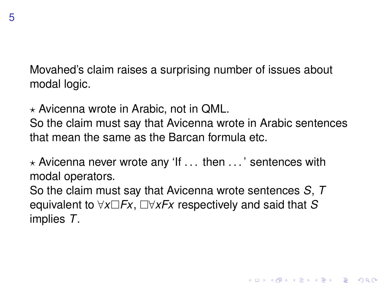5

Movahed's claim raises a surprising number of issues about modal logic.

 $\star$  Avicenna wrote in Arabic, not in QML.

So the claim must say that Avicenna wrote in Arabic sentences that mean the same as the Barcan formula etc.

 $\star$  Avicenna never wrote any 'If ... then  $\ldots$ ' sentences with modal operators.

So the claim must say that Avicenna wrote sentences *S*, *T* equivalent to  $\forall x \Box Fx$ ,  $\Box \forall x Fx$  respectively and said that S implies *T*.

**KORK ERKER ADAM ADA**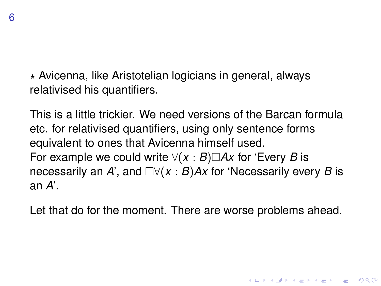$\star$  Avicenna, like Aristotelian logicians in general, always relativised his quantifiers.

This is a little trickier. We need versions of the Barcan formula etc. for relativised quantifiers, using only sentence forms equivalent to ones that Avicenna himself used. For example we could write  $\forall (x : B) \square Ax$  for 'Every *B* is necessarily an *A*', and  $\Box \forall (x : B)$  *Ax* for 'Necessarily every *B* is an *A*'.

Let that do for the moment. There are worse problems ahead.

**KORK ERKEY EL POLO**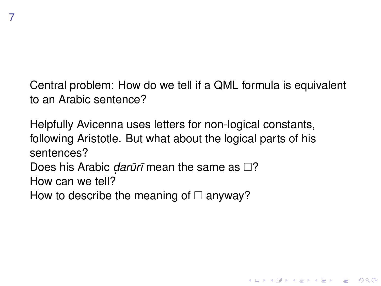Central problem: How do we tell if a QML formula is equivalent to an Arabic sentence?

**KORK ERKER ADAM ADA** 

Helpfully Avicenna uses letters for non-logical constants, following Aristotle. But what about the logical parts of his sentences?

Does his Arabic *darūrī* mean the same as □? How can we tell?

How to describe the meaning of  $\Box$  anyway?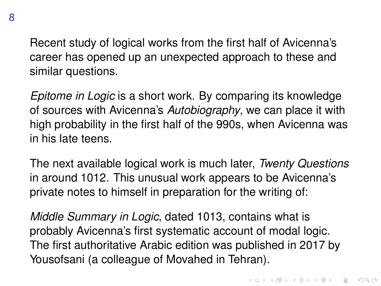Recent study of logical works from the first half of Avicenna's career has opened up an unexpected approach to these and similar questions.

*Epitome in Logic* is a short work. By comparing its knowledge of sources with Avicenna's *Autobiography*, we can place it with high probability in the first half of the 990s, when Avicenna was in his late teens.

The next available logical work is much later, *Twenty Questions* in around 1012. This unusual work appears to be Avicenna's private notes to himself in preparation for the writing of:

*Middle Summary in Logic*, dated 1013, contains what is probably Avicenna's first systematic account of modal logic. The first authoritative Arabic edition was published in 2017 by Yousofsani (a colleague of Movahed in Tehran).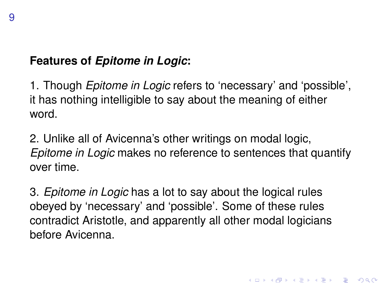## **Features of** *Epitome in Logic***:**

1. Though *Epitome in Logic* refers to 'necessary' and 'possible', it has nothing intelligible to say about the meaning of either word.

2. Unlike all of Avicenna's other writings on modal logic, *Epitome in Logic* makes no reference to sentences that quantify over time.

3. *Epitome in Logic* has a lot to say about the logical rules obeyed by 'necessary' and 'possible'. Some of these rules contradict Aristotle, and apparently all other modal logicians before Avicenna.

**KORKAR KERKER E VOOR**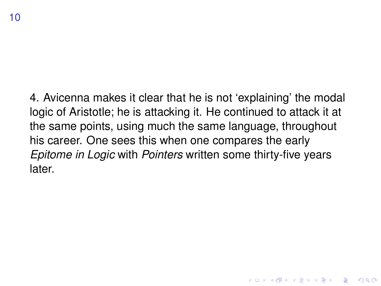4. Avicenna makes it clear that he is not 'explaining' the modal logic of Aristotle; he is attacking it. He continued to attack it at the same points, using much the same language, throughout his career. One sees this when one compares the early *Epitome in Logic* with *Pointers* written some thirty-five years later.

**KORK ERKER ADAM ADA**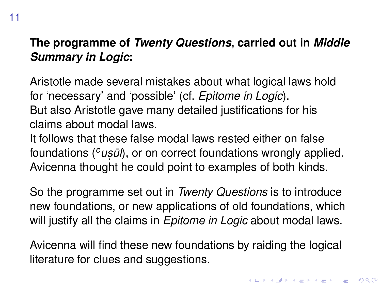## **The programme of** *Twenty Questions***, carried out in** *Middle Summary in Logic***:**

Aristotle made several mistakes about what logical laws hold for 'necessary' and 'possible' (cf. *Epitome in Logic*). But also Aristotle gave many detailed justifications for his claims about modal laws.

It follows that these false modal laws rested either on false foundations (<sup>*c*</sup> *usūl*), or on correct foundations wrongly applied. Avicenna thought he could point to examples of both kinds.

So the programme set out in *Twenty Questions* is to introduce new foundations, or new applications of old foundations, which will justify all the claims in *Epitome in Logic* about modal laws.

Avicenna will find these new foundations by raiding the logical literature for clues and suggestions.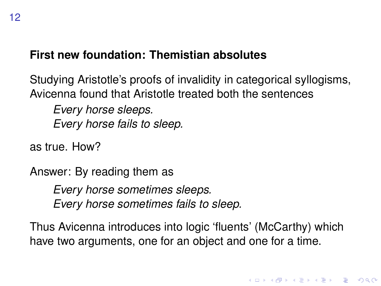#### **First new foundation: Themistian absolutes**

Studying Aristotle's proofs of invalidity in categorical syllogisms, Avicenna found that Aristotle treated both the sentences

*Every horse sleeps. Every horse fails to sleep.*

as true. How?

Answer: By reading them as

*Every horse sometimes sleeps. Every horse sometimes fails to sleep.*

Thus Avicenna introduces into logic 'fluents' (McCarthy) which have two arguments, one for an object and one for a time.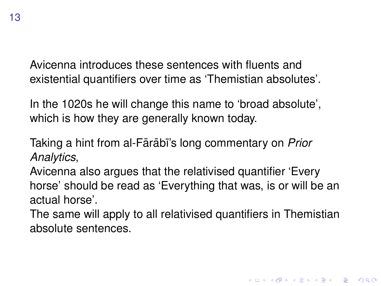Avicenna introduces these sentences with fluents and existential quantifiers over time as 'Themistian absolutes'.

In the 1020s he will change this name to 'broad absolute', which is how they are generally known today.

Taking a hint from al-Fārābī's long commentary on *Prior Analytics*,

Avicenna also argues that the relativised quantifier 'Every horse' should be read as 'Everything that was, is or will be an actual horse'.

The same will apply to all relativised quantifiers in Themistian absolute sentences.

**KORK ERKEY EL POLO**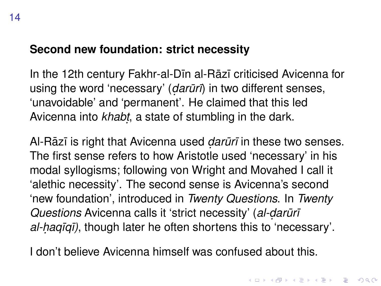#### **Second new foundation: strict necessity**

In the 12th century Fakhr-al-Din al-Rāzī criticised Avicenna for using the word 'necessary' (*darūrī*) in two different senses, 'unavoidable' and 'permanent'. He claimed that this led Avicenna into *khabṭ*, a state of stumbling in the dark.

Al-Rāzī is right that Avicenna used *darūrī* in these two senses. The first sense refers to how Aristotle used 'necessary' in his modal syllogisms; following von Wright and Movahed I call it 'alethic necessity'. The second sense is Avicenna's second 'new foundation', introduced in *Twenty Questions*. In *Twenty Questions* Avicenna calls it 'strict necessity' (*al-darūrī al-haqīqī)*, though later he often shortens this to 'necessary'.

I don't believe Avicenna himself was confused about this.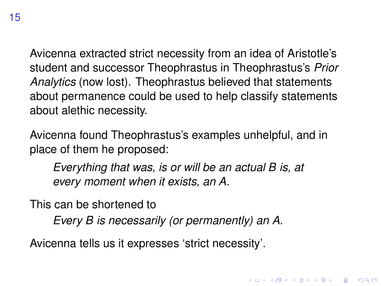15

Avicenna extracted strict necessity from an idea of Aristotle's student and successor Theophrastus in Theophrastus's *Prior Analytics* (now lost). Theophrastus believed that statements about permanence could be used to help classify statements about alethic necessity.

Avicenna found Theophrastus's examples unhelpful, and in place of them he proposed:

*Everything that was, is or will be an actual B is, at every moment when it exists, an A.*

**KORK ERKEY EL POLO** 

This can be shortened to

*Every B is necessarily (or permanently) an A.*

Avicenna tells us it expresses 'strict necessity'.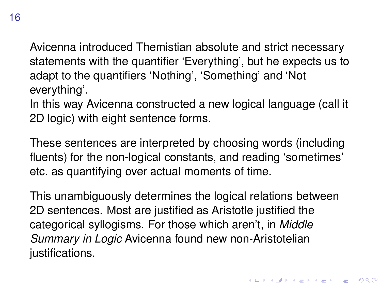Avicenna introduced Themistian absolute and strict necessary statements with the quantifier 'Everything', but he expects us to adapt to the quantifiers 'Nothing', 'Something' and 'Not everything'.

In this way Avicenna constructed a new logical language (call it 2D logic) with eight sentence forms.

These sentences are interpreted by choosing words (including fluents) for the non-logical constants, and reading 'sometimes' etc. as quantifying over actual moments of time.

This unambiguously determines the logical relations between 2D sentences. Most are justified as Aristotle justified the categorical syllogisms. For those which aren't, in *Middle Summary in Logic* Avicenna found new non-Aristotelian justifications.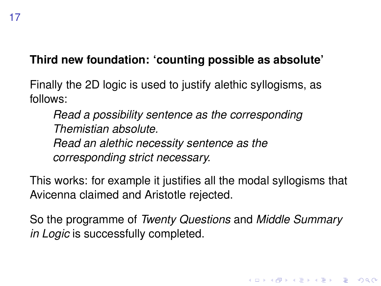### **Third new foundation: 'counting possible as absolute'**

Finally the 2D logic is used to justify alethic syllogisms, as follows:

*Read a possibility sentence as the corresponding Themistian absolute. Read an alethic necessity sentence as the corresponding strict necessary.*

This works: for example it justifies all the modal syllogisms that Avicenna claimed and Aristotle rejected.

So the programme of *Twenty Questions* and *Middle Summary in Logic* is successfully completed.

**KORK ERKER ADAM ADA**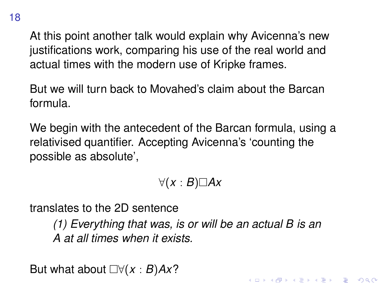At this point another talk would explain why Avicenna's new justifications work, comparing his use of the real world and actual times with the modern use of Kripke frames.

But we will turn back to Movahed's claim about the Barcan formula.

We begin with the antecedent of the Barcan formula, using a relativised quantifier. Accepting Avicenna's 'counting the possible as absolute',

∀(*x* : *B*)*Ax*

translates to the 2D sentence

*(1) Everything that was, is or will be an actual B is an A at all times when it exists.*

**KORK ERKEY EL POLO** 

But what about  $\Box \forall (x : B)Ax$ ?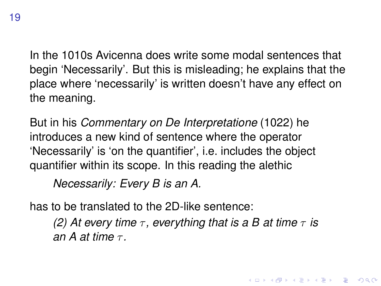In the 1010s Avicenna does write some modal sentences that begin 'Necessarily'. But this is misleading; he explains that the place where 'necessarily' is written doesn't have any effect on the meaning.

But in his *Commentary on De Interpretatione* (1022) he introduces a new kind of sentence where the operator 'Necessarily' is 'on the quantifier', i.e. includes the object quantifier within its scope. In this reading the alethic

*Necessarily: Every B is an A.*

has to be translated to the 2D-like sentence:

*(2) At every time*  $\tau$ , *everything that is a B at time*  $\tau$  *is an A at time* τ *.*

.<br>◆ ロ ▶ ◆ @ ▶ ◆ 경 ▶ → 경 ▶ │ 경 │ ◇ 9,9,0°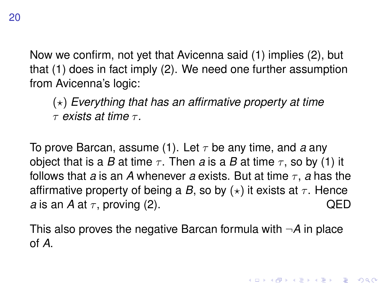Now we confirm, not yet that Avicenna said (1) implies (2), but that (1) does in fact imply (2). We need one further assumption from Avicenna's logic:

 $(\star)$  *Everything that has an affirmative property at time* τ *exists at time* τ *.*

To prove Barcan, assume (1). Let  $\tau$  be any time, and *a* any object that is a *B* at time  $\tau$ . Then *a* is a *B* at time  $\tau$ , so by (1) it follows that *a* is an *A* whenever *a* exists. But at time  $\tau$ , *a* has the affirmative property of being a *B*, so by  $(*)$  it exists at  $\tau$ . Hence *a* is an *A* at  $\tau$ , proving (2).  $QED$ 

This also proves the negative Barcan formula with ¬*A* in place of *A*.

**KORK ERKEY EL POLO**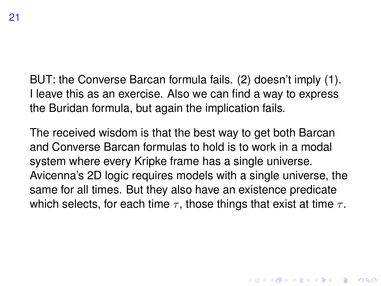BUT: the Converse Barcan formula fails. (2) doesn't imply (1). I leave this as an exercise. Also we can find a way to express the Buridan formula, but again the implication fails.

The received wisdom is that the best way to get both Barcan and Converse Barcan formulas to hold is to work in a modal system where every Kripke frame has a single universe. Avicenna's 2D logic requires models with a single universe, the same for all times. But they also have an existence predicate which selects, for each time  $\tau$ , those things that exist at time  $\tau$ .

**KORK ERKEY EL POLO**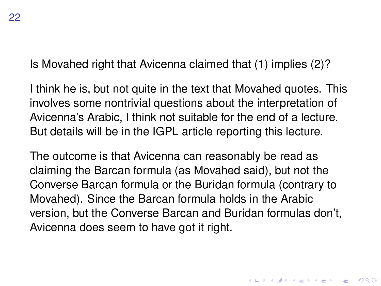Is Movahed right that Avicenna claimed that (1) implies (2)?

I think he is, but not quite in the text that Movahed quotes. This involves some nontrivial questions about the interpretation of Avicenna's Arabic, I think not suitable for the end of a lecture. But details will be in the IGPL article reporting this lecture.

The outcome is that Avicenna can reasonably be read as claiming the Barcan formula (as Movahed said), but not the Converse Barcan formula or the Buridan formula (contrary to Movahed). Since the Barcan formula holds in the Arabic version, but the Converse Barcan and Buridan formulas don't, Avicenna does seem to have got it right.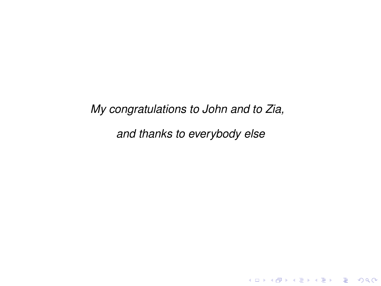*My congratulations to John and to Zia,*

*and thanks to everybody else*

K ロ ▶ K @ ▶ K 할 ▶ K 할 ▶ 이 할 → 9 Q Q →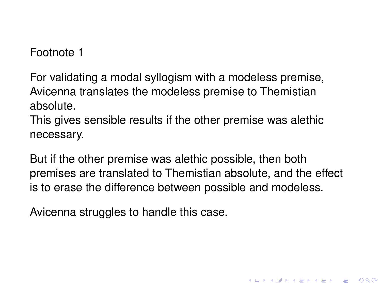## Footnote 1

For validating a modal syllogism with a modeless premise, Avicenna translates the modeless premise to Themistian absolute.

This gives sensible results if the other premise was alethic necessary.

But if the other premise was alethic possible, then both premises are translated to Themistian absolute, and the effect is to erase the difference between possible and modeless.

**KORK ERKER ADAM ADA** 

Avicenna struggles to handle this case.